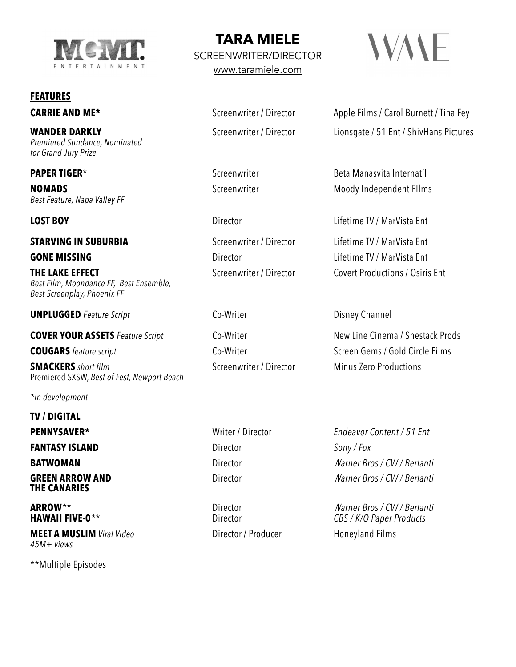

### **FEATURES**

*Premiered Sundance, Nominated for Grand Jury Prize* 

*Best Feature, Napa Valley FF*

## **STARVING IN SUBURBIA** Screenwriter / Director Lifetime TV / MarVista Ent

**THE LAKE EFFECT** THE Screenwriter / Director Covert Productions / Osiris Ent *Best Film, Moondance FF, Best Ensemble, Best Screenplay, Phoenix FF*

### **UNPLUGGED** Feature Script **Co-Writer** Co-Writer **Co-Writer** Disney Channel

### **COVER YOUR ASSETS** Feature Script Co-Writer Community Community New Line Cinema / Shestack Prods

**SMACKERS** *short film* Screenwriter / Director Minus Zero Productions Premiered SXSW, *Best of Fest, Newport Beach*

*\*In development*

**TV / DIGITAL FANTASY ISLAND** Director *Sony / Fox*  **THE CANARIES**

**MEET A MUSLIM** *Viral Video* **Director / Producer** Honeyland Films *45M+ views*

\*\*Multiple Episodes

**TARA MIELE** SCREENWRITER/DIRECTOR [www.taramiele.com](http://www.taramiele.com)

WANE

**CARRIE AND ME\*** Screenwriter / Director Apple Films / Carol Burnett / Tina Fey **WANDER DARKLY** Screenwriter / Director Lionsgate / 51 Ent / ShivHans Pictures

**PAPER TIGER**<sup>\*</sup> The Screenwriter Beta Manasvita Internat'l **NOMADS** Screenwriter Moody Independent Films

**LOST BOY Director Director Lifetime TV** / MarVista Ent

**GONE MISSING CONE MISSING Director Director Lifetime TV** / MarVista Ent

**COUGARS** *feature script* Co-Writer Co-Writer Screen Gems / Gold Circle Films

**PENNYSAVER\*** Writer / Director *Endeavor Content / 51 Ent*  **BATWOMAN** Director *Warner Bros / CW / Berlanti*  **GREEN ARROW AND** Director *Warner Bros / CW / Berlanti* 

**ARROW***\*\** Director *Warner Bros / CW / Berlanti*  **HAWAII FIVE-0***\*\** Director *CBS / K/O Paper Products*